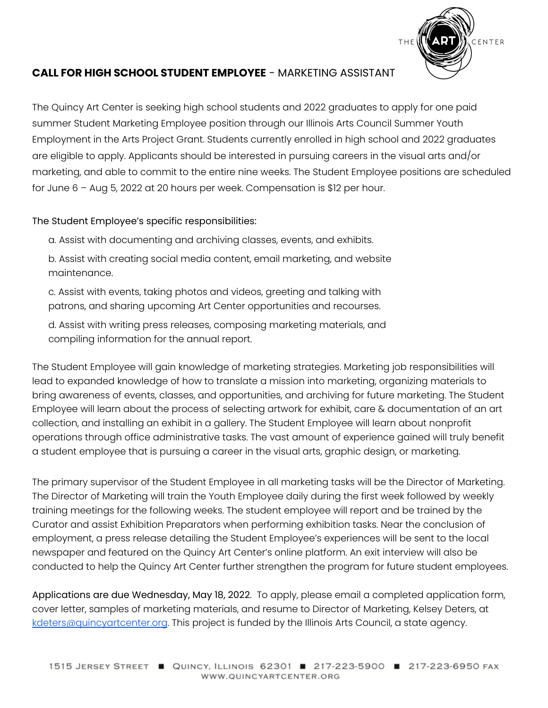

#### **CALL FOR HIGH SCHOOL STUDENT EMPLOYEE** - MARKETING ASSISTANT

The Quincy Art Center is seeking high school students and 2022 graduates to apply for one paid summer Student Marketing Employee position through our Illinois Arts Council Summer Youth Employment in the Arts Project Grant. Students currently enrolled in high school and 2022 graduates are eligible to apply. Applicants should be interested in pursuing careers in the visual arts and/or marketing, and able to commit to the entire nine weeks. The Student Employee positions are scheduled for June 6 – Aug 5, 2022 at 20 hours per week. Compensation is \$12 per hour.

The Student Employee's specific responsibilities:

a. Assist with documenting and archiving classes, events, and exhibits.

b. Assist with creating social media content, email marketing, and website maintenance.

c. Assist with events, taking photos and videos, greeting and talking with patrons, and sharing upcoming Art Center opportunities and recourses.

d. Assist with writing press releases, composing marketing materials, and compiling information for the annual report.

The Student Employee will gain knowledge of marketing strategies. Marketing job responsibilities will lead to expanded knowledge of how to translate a mission into marketing, organizing materials to bring awareness of events, classes, and opportunities, and archiving for future marketing. The Student Employee will learn about the process of selecting artwork for exhibit, care & documentation of an art collection, and installing an exhibit in a gallery. The Student Employee will learn about nonprofit operations through office administrative tasks. The vast amount of experience gained will truly benefit a student employee that is pursuing a career in the visual arts, graphic design, or marketing.

The primary supervisor of the Student Employee in all marketing tasks will be the Director of Marketing. The Director of Marketing will train the Youth Employee daily during the first week followed by weekly training meetings for the following weeks. The student employee will report and be trained by the Curator and assist Exhibition Preparators when performing exhibition tasks. Near the conclusion of employment, a press release detailing the Student Employee's experiences will be sent to the local newspaper and featured on the Quincy Art Center's online platform. An exit interview will also be conducted to help the Quincy Art Center further strengthen the program for future student employees.

Applications are due Wednesday, May 18, 2022. To apply, please email a completed application form, cover letter, samples of marketing materials, and resume to Director of Marketing, Kelsey Deters, at [kdeters@quincyartcenter.org](mailto:kdeters@quincyartcenter.org). This project is funded by the Illinois Arts Council, a state agency.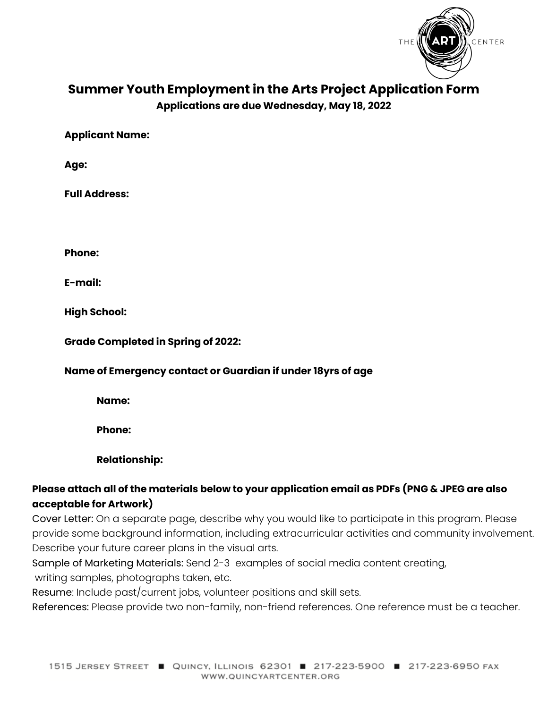

# **Summer Youth Employment in the Arts Project Application Form**

**Applications are due Wednesday, May 18, 2022**

**Applicant Name:**

**Age:**

**Full Address:**

**Phone:**

**E-mail:**

**High School:**

**Grade Completed in Spring of 2022:**

#### **Name of Emergency contact or Guardian if under 18yrs of age**

**Name:**

**Phone:**

**Relationship:**

# **Please attach all of the materials below to your application email as PDFs (PNG & JPEG are also acceptable for Artwork)**

Cover Letter: On a separate page, describe why you would like to participate in this program. Please provide some background information, including extracurricular activities and community involvement. Describe your future career plans in the visual arts.

Sample of Marketing Materials: Send 2-3 examples of social media content creating, writing samples, photographs taken, etc.

Resume: Include past/current jobs, volunteer positions and skill sets.

References: Please provide two non-family, non-friend references. One reference must be a teacher.